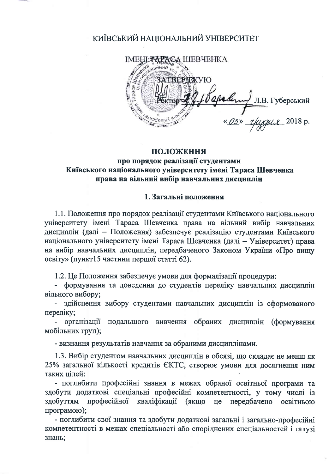# КИЇВСЬКИЙ НАЦІОНАЛЬНИЙ УНІВЕРСИТЕТ

**ІМЕНІ ТАРАСА ШЕВЧЕНКА**  $\frac{1}{2}$ ЗАТВЕРДЖУЮ Opalery " Л.В. Губерський

#### ПОЛОЖЕННЯ

## про порядок реалізації студентами Київського національного університету імені Тараса Шевченка права на вільний вибір навчальних дисциплін

#### 1. Загальні положення

1.1. Положення про порядок реалізації студентами Київського національного університету імені Тараса Шевченка права на вільний вибір навчальних дисциплін (далі - Положення) забезпечує реалізацію студентами Київського національного університету імені Тараса Шевченка (далі - Університет) права на вибір навчальних дисциплін, передбаченого Законом України «Про вишу освіту» (пункт15 частини першої статті 62).

1.2. Це Положення забезпечує умови для формалізації процедури:

- формування та доведення до студентів переліку навчальних дисциплін вільного вибору:

- здійснення вибору студентами навчальних дисциплін із сформованого переліку;

- організації подальшого вивчення обраних дисциплін (формування мобільних груп);

- визнання результатів навчання за обраними дисциплінами.

1.3. Вибір студентом навчальних дисциплін в обсязі, що складає не менш як 25% загальної кількості кредитів ЄКТС, створює умови для досягнення ним таких пілей:

- поглибити професійні знання в межах обраної освітньої програми та здобути додаткові спеціальні професійні компетентності, у тому числі із здобуттям професійної кваліфікації (якщо це передбачено освітньою програмою);

- поглибити свої знання та здобути додаткові загальні і загально-професійні компетентності в межах спеціальності або споріднених спеціальностей і галузі знань;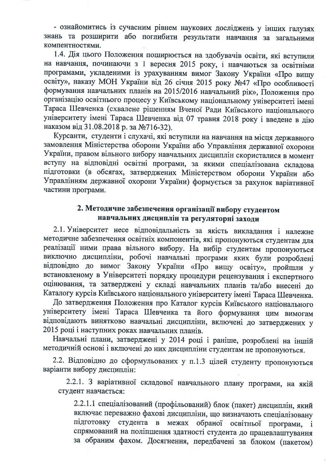- ознайомитись із сучасним рівнем наукових досліджень у інших галузях знань та розширити або поглибити результати навчання за загальними компентностями.

1.4. Дія цього Положення поширюється на здобувачів освіти, які вступили на навчання, починаючи з 1 вересня 2015 року, і навчаються за освітніми програмами, укладеними із урахуванням вимог Закону України «Про вищу освіту», наказу МОН України від 26 січня 2015 року №47 «Про особливості формування навчальних планів на 2015/2016 навчальний рік», Положення про організацію освітнього процесу у Київському національному університеті імені Тараса Шевченка (схвалене рішенням Вченої Ради Київського національного університету імені Тараса Шевченка від 07 травня 2018 року і введене в дію наказом від 31.08.2018 р. за №716-32).

Курсанти, студенти і слухачі, які вступили на навчання на місця державного замовлення Міністерства оборони України або Управління державної охорони України, правом вільного вибору навчальних дисциплін скористалися в момент вступу на відповідні освітні програми, за якими спеціалізована складова підготовки (в обсягах, затверджених Міністерством оборони України або Управлінням державної охорони України) формується за рахунок варіативної частини програми.

## 2. Методичне забезпечення організації вибору студентом навчальних дисциплін та регуляторні заходи

2.1. Університет несе відповідальність за якість викладання і належне методичне забезпечення освітніх компонентів, які пропонуються студентам для реалізації ними права вільного вибору. На вибір студентам пропонуються виключно дисципліни, робочі навчальні програми яких були розроблені відповідно до вимог Закону України «Про вищу освіту», пройшли у встановленому в Університеті порядку процедури рецензування і експертного оцінювання, та затверджені у складі навчальних планів та/або внесені до Каталогу курсів Київського національного університету імені Тараса Шевченка.

До затвердження Положення про Каталог курсів Київського національного університету імені Тараса Шевченка та його формування цим вимогам відповідають винятково навчальні дисципліни, включені до затверджених у 2015 році і наступних роках навчальних планів.

Навчальні плани, затверджені у 2014 році і раніше, розроблені на іншій методичній основі і включені до них дисципліни студентам не пропонуються.

2.2. Відповідно до сформульованих у п.1.3 цілей студенту пропонуються варіанти вибору дисциплін:

2.2.1. З варіативної складової навчального плану програми, на якій студент навчається:

2.2.1.1 спеціалізований (профільований) блок (пакет) дисциплін, який включає переважно фахові дисципліни, що визначають спеціалізовану підготовку студента в межах обраної освітньої програми, спрямований на поліпшення здатності студента до працевлаштування за обраним фахом. Досягнення, передбачені за блоком (пакетом)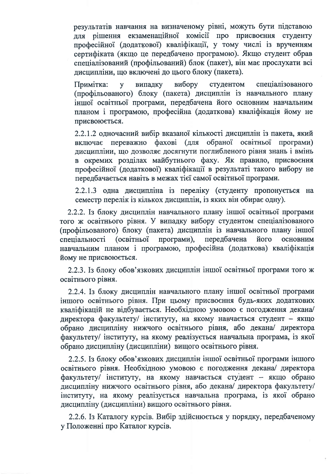результатів навчання на визначеному рівні, можуть бути підставою лля рішення екзаменаційної комісії про присвоєння студенту професійної (додаткової) кваліфікації, у тому числі із врученням сертифіката (якщо це передбачено програмою). Якщо студент обрав спеціалізований (профільований) блок (пакет), він має прослухати всі дисципліни, що включені до цього блоку (пакета).

Примітка: випадку вибору студентом спеціалізованого  $\overline{\mathbf{y}}$ (профільованого) блоку (пакета) дисциплін із навчального плану іншої освітньої програми, передбачена його основним навчальним планом і програмою, професійна (додаткова) кваліфікація йому не присвоюється.

2.2.1.2 одночасний вибір вказаної кількості дисциплін із пакета, який включає переважно фахові (для обраної освітньої програми) дисципліни, що дозволяє досягнути поглибленого рівня знань і вмінь в окремих розділах майбутнього фаху. Як правило, присвоєння професійної (додаткової) кваліфікації в результаті такого вибору не передбачається навіть в межах тієї самої освітньої програми.

2.2.1.3 одна дисципліна із переліку (студенту пропонується на семестр перелік із кількох дисциплін, із яких він обирає одну).

2.2.2. Із блоку дисциплін навчального плану іншої освітньої програми того ж освітнього рівня. У випадку вибору студентом спеціалізованого (профільованого) блоку (пакета) дисциплін із навчального плану іншої спеціальності (освітньої програми), передбачена його основним навчальним планом і програмою, професійна (додаткова) кваліфікація йому не присвою сться.

2.2.3. Із блоку обов'язкових дисциплін іншої освітньої програми того ж освітнього рівня.

2.2.4. Із блоку дисциплін навчального плану іншої освітньої програми іншого освітнього рівня. При цьому присвоєння будь-яких додаткових кваліфікацій не відбувається. Необхідною умовою є погодження декана/ директора факультету/ інституту, на якому навчається студент - якщо обрано дисципліну нижчого освітнього рівня, або декана/ директора факультету/ інституту, на якому реалізується навчальна програма, із якої обрано дисципліну (дисципліни) вищого освітнього рівня.

2.2.5. Із блоку обов'язкових дисциплін іншої освітньої програми іншого освітнього рівня. Необхідною умовою є погодження декана/ директора факультету/ інституту, на якому навчається студент - якщо обрано дисципліну нижчого освітнього рівня, або декана/ директора факультету/ інституту, на якому реалізується навчальна програма, із якої обрано дисципліну (дисципліни) вищого освітнього рівня.

2.2.6. Із Каталогу курсів. Вибір здійснюється у порядку, передбаченому у Положенні про Каталог курсів.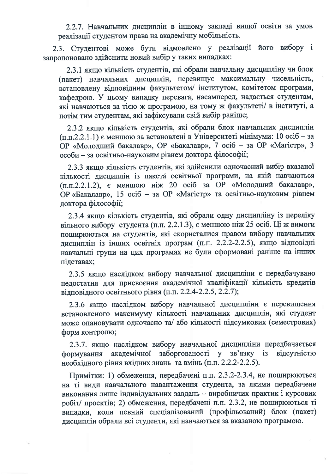2.2.7. Навчальних дисциплін в іншому закладі вищої освіти за умов реалізації студентом права на академічну мобільність.

2.3. Студентові може бути відмовлено у реалізації його вибору і запропоновано здійснити новий вибір у таких випадках:

2.3.1 якщо кількість студентів, які обрали навчальну дисципліну чи блок (пакет) навчальних дисциплін, перевищує максимальну чисельність, встановлену відповідним факультетом/ інститутом, комітетом програми, кафедрою. У цьому випадку перевага, насамперед, надається студентам, які навчаються за тією ж програмою, на тому ж факультеті/ в інституті, а потім тим студентам, які зафіксували свій вибір раніше;

2.3.2 якщо кількість студентів, які обрали блок навчальних дисциплін  $(n.n.2.2.1.1)$  є меншою за встановлені в Університеті мінімуми: 10 осіб – за ОР «Молодший бакалавр», ОР «Бакалавр», 7 осіб - за ОР «Магістр», 3 особи - за освітньо-науковим рівнем доктора філософії;

2.3.3 якщо кількість студентів, які здійснили одночасний вибір вказаної кількості дисциплін із пакета освітньої програми, на якій навчаються (п.п.2.2.1.2), є меншою ніж 20 осіб за ОР «Молодший бакалавр», ОР «Бакалавр», 15 осіб - за ОР «Магістр» та освітньо-науковим рівнем доктора філософії;

2.3.4 якщо кількість студентів, які обрали одну дисципліну із переліку вільного вибору студента (п.п. 2.2.1.3), є меншою ніж 25 осіб. Ці ж вимоги поширюються на студентів, які скористалися правом вибору навчальних дисциплін із інших освітніх програм (п.п. 2.2.2-2.2.5), якщо відповідні навчальні групи на цих програмах не були сформовані раніше на інших підставах;

2.3.5 якщо наслідком вибору навчальної дисципліни є передбачувано недостатня для присвоєння академічної кваліфікації кількість кредитів відповідного освітнього рівня (п.п. 2.2.4-2.2.5, 2.2.7);

2.3.6 якщо наслідком вибору навчальної дисципліни є перевищення встановленого максимуму кількості навчальних дисциплін, які студент може опановувати одночасно та/ або кількості підсумкових (семестрових) форм контролю;

2.3.7. якщо наслідком вибору навчальної дисципліни передбачається академічної заборгованості у зв'язку із відсутністю формування необхідного рівня вхідних знань та вмінь (п.п. 2.2.2-2.2.5).

Примітки: 1) обмеження, передбачені п.п. 2.3.2-2.3.4, не поширюються на ті види навчального навантаження студента, за якими передбачене виконання лише індивідуальних завдань - виробничих практик і курсових робіт/проектів; 2) обмеження, передбачені п.п. 2.3.2, не поширюються ті випадки, коли певний спеціалізований (профільований) блок (пакет) дисциплін обрали всі студенти, які навчаються за вказаною програмою.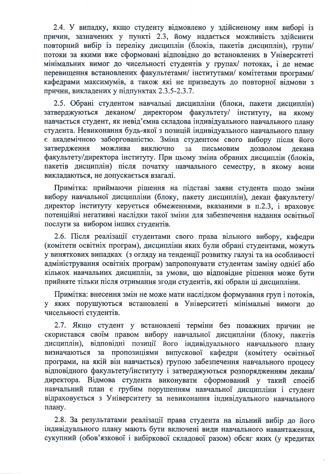2.4. У випадку, якщо студенту відмовлено у здійсненому ним виборі із причин, зазначених у пункті 2.3, йому надається можливість здійснити повторний вибір із переліку дисциплін (блоків, пакетів дисциплін), групи/ потоки за якими вже сформовані відповідно до встановлених в Університеті мінімальних вимог до чисельності студентів у групах/ потоках, і де немає перевищення встановлених факультетами/ інститутами/ комітетами програми/ кафедрами максимумів, а також які не призведуть до повторної відмови з причин, викладених у підпунктах 2.3.5-2.3.7.

2.5. Обрані студентом навчальні дисципліни (блоки, пакети дисциплін) затверджуються деканом/ директором факультету/ інституту, на якому навчається студент, як невід'ємна складова індивідуального навчального плану студента. Невиконання будь-якої з позицій індивідуального навчального плану є академічною заборгованістю. Зміна студентом свого вибору після його можлива затвердження виключно за письмовим дозволом лекана факультету/директора інституту. При цьому зміна обраних дисциплін (блоків, пакетів дисциплін) після початку навчального семестру, в якому вони викладаються, не допускається взагалі.

Примітка: приймаючи рішення на підставі заяви студента щодо зміни вибору навчальної дисципліни (блоку, пакету дисциплін), декан факультету/ директор інституту керується обмеженнями, вказаними в п.2.3, і враховує потенційні негативні наслідки такої зміни для забезпечення надання освітньої послуги за вибором інших студентів.

2.6. Після реалізації студентами свого права вільного вибору, кафедри (комітети освітніх програм), дисципліни яких були обрані студентами, можуть у виняткових випадках (з огляду на тенденції розвитку галузі та на особливості адміністрування освітніх програм) запропонувати студентам заміну однієї або кількох навчальних дисциплін, за умови, що відповідне рішення може бути прийняте тільки після отримання згоди студентів, які обрали ці дисципліни.

Примітка: внесення змін не може мати наслідком формування груп і потоків, у яких порушуються встановлені в Університеті мінімальні вимоги до чисельності студентів.

2.7. Якщо студент у встановлені терміни без поважних причин не скористався своїм правом вибору навчальної дисципліни (блоку, пакетів дисциплін), відповідні позиції його індивідуального навчального плану визначаються за пропозиціями випускової кафедри (комітету освітньої програми, на якій він навчається) групою забезпечення навчального процесу відповідного факультету/інституту і затверджуються розпорядженням декана/ директора. Відмова студента виконувати сформований у такий спосіб навчальний план є грубим порушенням навчальної дисципліни і студент відраховується з Університету за невиконання індивідуального навчального плану.

2.8. За результатами реалізації права студента на вільний вибір до його індивідуального плану мають бути включені види навчального навантаження, сукупний (обов'язкової і вибіркової складової разом) обсяг яких (у кредитах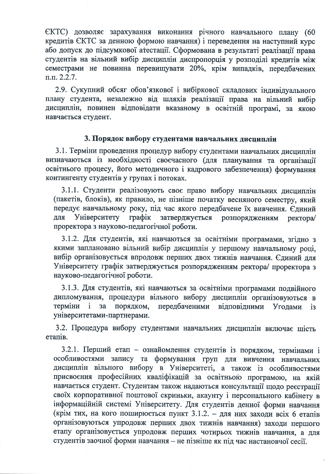ЄКТС) дозволяє зарахування виконання річного навчального плану (60 кредитів ЄКТС за денною формою навчання) і переведення на наступний курс або допуск до підсумкової атестації. Сформована в результаті реалізації права студентів на вільний вибір дисциплін диспропорція у розполілі кредитів між семестрами не повинна перевищувати 20%, крім випадків, передбачених  $\Pi$ ,  $\Pi$ ,  $2.2.7$ .

2.9. Сукупний обсяг обов'язкової і вибіркової складових індивідуального плану студента, незалежно від шляхів реалізації права на вільний вибір дисциплін, повинен відповідати вказаному в освітній програмі, за якою навчається студент.

### 3. Порядок вибору студентами навчальних дисциплін

3.1. Терміни проведення процедур вибору студентами навчальних дисциплін визначаються із необхідності своєчасного (для планування та організації освітнього процесу, його методичного і кадрового забезпечення) формування контингенту студентів у групах і потоках.

3.1.1. Студенти реалізовують своє право вибору навчальних дисциплін (пакетів, блоків), як правило, не пізніше початку весняного семестру, який передує навчальному року, під час якого передбачене їх вивчення. Єдиний Університету графік ДЛЯ затверджується розпорядженням pektopa/ проректора з науково-педагогічної роботи.

3.1.2. Для студентів, які навчаються за освітніми програмами, згідно з якими заплановано вільний вибір дисциплін у першому навчальному році, вибір організовується впродовж перших двох тижнів навчання. Єдиний для Університету графік затверджується розпорядженням ректора/проректора з науково-педагогічної роботи.

3.1.3. Для студентів, які навчаються за освітніми програмами подвійного дипломування, процедури вільного вибору дисциплін організовуються в передбаченими терміни порядком,  $\mathbf{i}$  $3a$ відповідними Уголами  $i<sub>3</sub>$ університетами-партнерами.

3.2. Процедура вибору студентами навчальних дисциплін включає шість етапів.

3.2.1. Перший етап - ознайомлення студентів із порядком, термінами і особливостями запису та формування груп для вивчення навчальних дисциплін вільного вибору в Університеті, а також із особливостями присвоєння професійних кваліфікацій за освітньою програмою, на якій навчається студент. Студентам також надаються консультації щодо реєстрації своїх корпоративної поштової скриньки, акаунту і персонального кабінету в інформаційній системі Університету. Для студентів денної форми навчання (крім тих, на кого поширюється пункт 3.1.2. - для них заходи всіх 6 етапів організовуються упродовж перших двох тижнів навчання) заходи першого етапу організовується упродовж перших чотирьох тижнів навчання, а для студентів заочної форми навчання - не пізніше як під час настановчої сесії.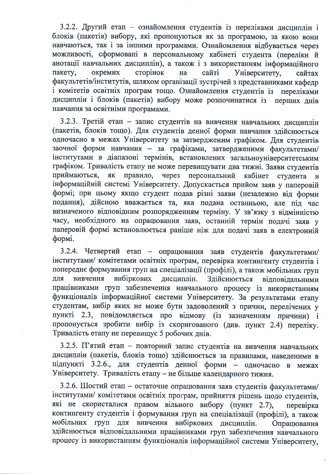3.2.2. Другий етап - ознайомлення студентів із переліками дисциплін і блоків (пакетів) вибору, які пропонуються як за програмою, за якою вони навчаються, так і за іншими програмами. Ознайомлення відбувається через можливості, сформовані в персональному кабінеті студента (переліки й анотації навчальних дисциплін), а також і з використанням інформаційного пакету. окремих сторінок сайті Університету, на сайтах факультетів/інститутів, шляхом організації зустрічей з представниками кафедр і комітетів освітніх програм тощо. Ознайомлення студентів із переліками дисциплін і блоків (пакетів) вибору може розпочинатися із перших днів навчання за освітніми програмами.

3.2.3. Третій етап - запис студентів на вивчення навчальних дисциплін (пакетів, блоків тощо). Для студентів денної форми навчання здійснюється одночасно в межах Університету за затвердженим графіком. Для студентів заочної форми навчання - за графіками, затвердженими факультетами/ інститутами в діапазоні термінів, встановлених загальноуніверситетським графіком. Тривалість етапу не може перевищувати два тижні. Заяви студентів приймаються, як правило, через персональний кабінет студента в інформаційній системі Університету. Допускається прийом заяв у паперовій формі; при цьому якщо студент подав різні заяви (незалежно від форми подання), дійсною вважається та, яка подана останньою, але під час визначеного відповідним розпорядженням терміну. У зв'язку з відмінністю часу, необхідного на опрацювання заяв, останній термін подачі заяв у паперовій формі встановлюється раніше ніж для подачі заяв в електронній формі.

3.2.4. Четвертий етап - опрацювання заяв студентів факультетами/ інститутами/ комітетами освітніх програм, перевірка контингенту студентів і попереднє формування груп на спеціалізації (профілі), а також мобільних груп вибіркових дисциплін. Здійснюється вивчення ЛЛЯ відповідальними працівниками груп забезпечення навчального процесу із використанням функціоналів інформаційної системи Університету. За результатами етапу студентам, вибір яких не може бути задоволений з причин, перелічених у пункті 2.3, повідомляється про відмову (із зазначенням причини) і пропонується зробити вибір із скоригованого (див. пункт 2.4) переліку. Тривалість етапу не перевищує 5 робочих днів.

3.2.5. П'ятий етап - повторний запис студентів на вивчення навчальних дисциплін (пакетів, блоків тощо) здійснюється за правилами, наведеними в підпункті 3.2.6., для студентів денної форми - одночасно в межах Університету. Тривалість етапу - не більше календарного тижня.

3.2.6. Шостий етап - остаточне опрацювання заяв студентів факультетами/ інститутами/ комітетами освітніх програм, прийняття рішень щодо студентів, які не скористалися правом вільного вибору (пункт 2.7), перевірка контингенту студентів і формування груп на спеціалізації (профілі), а також мобільних груп для вивчення вибіркових дисциплін. Опрацювання здійснюється відповідальними працівниками груп забезпечення навчального процесу із використанням функціоналів інформаційної системи Університету.